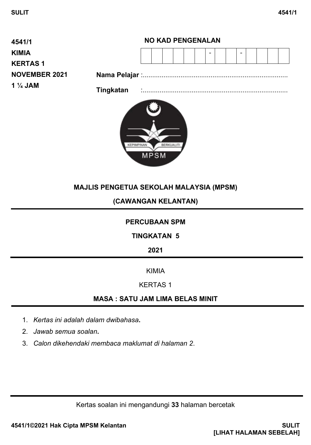

# **MAJLIS PENGETUA SEKOLAH MALAYSIA (MPSM)**

## **(CAWANGAN KELANTAN)**

## **PERCUBAAN SPM**

## **TINGKATAN 5**

**2021**

### KIMIA

## KERTAS 1

# **MASA : SATU JAM LIMA BELAS MINIT**

- 1. *Kertas ini adalah dalam dwibahasa***.**
- 2. *Jawab semua soalan***.**
- 3. *Calon dikehendaki membaca maklumat di halaman 2*.

Kertas soalan ini mengandungi **33** halaman bercetak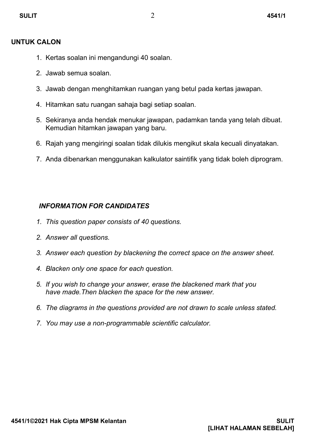#### **UNTUK CALON**

- 1. Kertas soalan ini mengandungi 40 soalan.
- 2. Jawab semua soalan.
- 3. Jawab dengan menghitamkan ruangan yang betul pada kertas jawapan.
- 4. Hitamkan satu ruangan sahaja bagi setiap soalan.
- 5. Sekiranya anda hendak menukar jawapan, padamkan tanda yang telah dibuat. Kemudian hitamkan jawapan yang baru.
- 6. Rajah yang mengiringi soalan tidak dilukis mengikut skala kecuali dinyatakan.
- 7. Anda dibenarkan menggunakan kalkulator saintifik yang tidak boleh diprogram.

## *INFORMATION FOR CANDIDATES*

- *1. This question paper consists of 40 questions.*
- *2. Answer all questions.*
- *3. Answer each question by blackening the correct space on the answer sheet.*
- *4. Blacken only one space for each question.*
- *5. If you wish to change your answer, erase the blackened mark that you have made.Then blacken the space for the new answer.*
- *6. The diagrams in the questions provided are not drawn to scale unless stated.*
- *7. You may use a non-programmable scientific calculator.*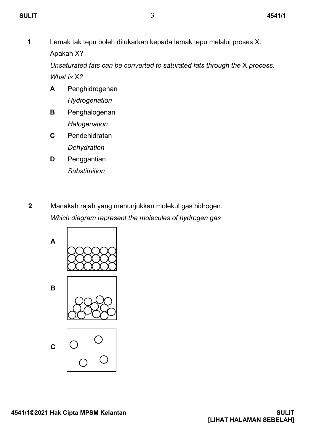**1** Lemak tak tepu boleh ditukarkan kepada lemak tepu melalui proses X. Apakah X?

*Unsaturated fats can be converted to saturated fats through the* X *process. What is* X*?*

- **A** Penghidrogenan *Hydrogenation*
- **B** Penghalogenan *Halogenation*
- **C** Pendehidratan *Dehydration*
- **D** Penggantian *Substituition*
- **2** Manakah rajah yang menunjukkan molekul gas hidrogen. *Which diagram represent the molecules of hydrogen gas*

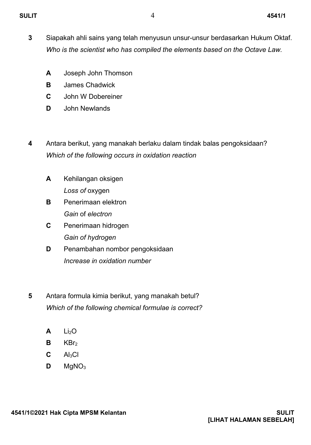- **3** Siapakah ahli sains yang telah menyusun unsur-unsur berdasarkan Hukum Oktaf. *Who is the scientist who has compiled the elements based on the Octave Law.*
	- **A** Joseph John Thomson
	- **B** James Chadwick
	- **C** John W Dobereiner
	- **D** John Newlands
- **4** Antara berikut, yang manakah berlaku dalam tindak balas pengoksidaan? *Which of the following occurs in oxidation reaction*
	- **A** Kehilangan oksigen *Loss of* oxygen
	- **B** Penerimaan elektron *Gain* of *electron*
	- **C** Penerimaan hidrogen *Gain of hydrogen*
	- **D** Penambahan nombor pengoksidaan *Increase in oxidation number*
- **5** Antara formula kimia berikut, yang manakah betul? *Which of the following chemical formulae is correct?* 
	- **A**  $Li<sub>2</sub>O$
	- **B** KBr<sub>2</sub>
	- **C**  $Al<sub>3</sub>Cl$
	- **D**  $MqNO<sub>3</sub>$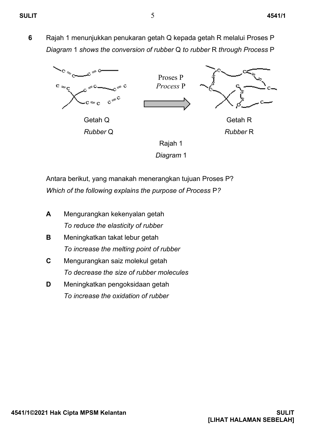**6** Rajah 1 menunjukkan penukaran getah Q kepada getah R melalui Proses P *Diagram* 1 *shows the conversion of rubber* Q *to rubber* R *through Process* P



*Diagram* 1

Antara berikut, yang manakah menerangkan tujuan Proses P? *Which of the following explains the purpose of Process* P*?*

- **A** Mengurangkan kekenyalan getah *To reduce the elasticity of rubber*
- **B** Meningkatkan takat lebur getah *To increase the melting point of rubber*
- **C** Mengurangkan saiz molekul getah *To decrease the size of rubber molecules*
- **D** Meningkatkan pengoksidaan getah *To increase the oxidation of rubber*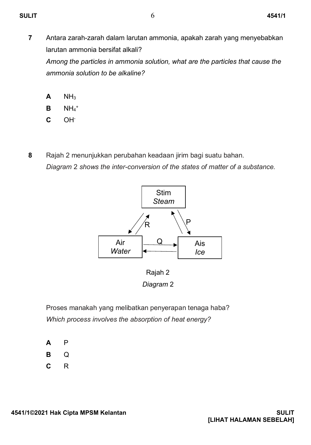- **7** Antara zarah-zarah dalam larutan ammonia, apakah zarah yang menyebabkan larutan ammonia bersifat alkali? *Among the particles in ammonia solution, what are the particles that cause the ammonia solution to be alkaline?*
	- **A**  $NH<sub>3</sub>$
	- **B**  $NH_4$ <sup>+</sup>
	- **C** OH-
- **8** Rajah 2 menunjukkan perubahan keadaan jirim bagi suatu bahan. *Diagram* 2 *shows the inter-conversion of the states of matter of a substance.*



 Rajah 2 *Diagram* 2

Proses manakah yang melibatkan penyerapan tenaga haba? *Which process involves the absorption of heat energy?*

- **A** P
- **B** Q
- **C** R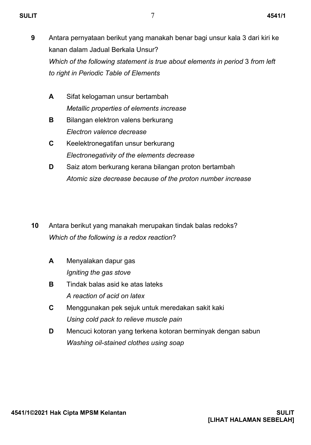- **9** Antara pernyataan berikut yang manakah benar bagi unsur kala 3 dari kiri ke kanan dalam Jadual Berkala Unsur? *Which of the following statement is true about elements in period* 3 *from left to right in Periodic Table of Elements*
	- **A** Sifat kelogaman unsur bertambah *Metallic properties of elements increase*
	- **B** Bilangan elektron valens berkurang *Electron valence decrease*
	- **C** Keelektronegatifan unsur berkurang *Electronegativity of the elements decrease*
	- **D** Saiz atom berkurang kerana bilangan proton bertambah *Atomic size decrease because of the proton number increase*
- **10** Antara berikut yang manakah merupakan tindak balas redoks? *Which of the following is a redox reaction*?
	- **A** Menyalakan dapur gas *Igniting the gas stove*
	- **B** Tindak balas asid ke atas lateks *A reaction of acid on latex*
	- **C** Menggunakan pek sejuk untuk meredakan sakit kaki *Using cold pack to relieve muscle pain*
	- **D** Mencuci kotoran yang terkena kotoran berminyak dengan sabun *Washing oil-stained clothes using soap*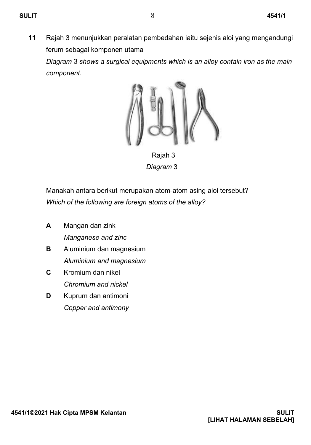*component.*

**11** Rajah 3 menunjukkan peralatan pembedahan iaitu sejenis aloi yang mengandungi ferum sebagai komponen utama *Diagram* 3 *shows a surgical equipments which is an alloy contain iron as the main* 



 Rajah 3  *Diagram* 3

Manakah antara berikut merupakan atom-atom asing aloi tersebut? *Which of the following are foreign atoms of the alloy?*

- **A** Mangan dan zink *Manganese and zinc*
- **B** Aluminium dan magnesium *Aluminium and magnesium*
- **C** Kromium dan nikel *Chromium and nickel*
- **D** Kuprum dan antimoni *Copper and antimony*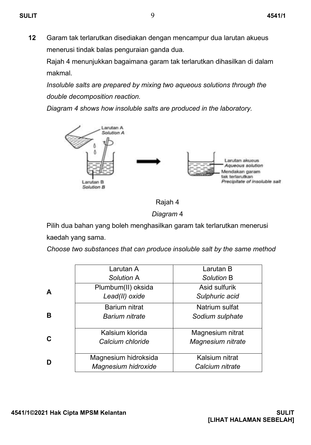**12** Garam tak terlarutkan disediakan dengan mencampur dua larutan akueus menerusi tindak balas penguraian ganda dua.

Rajah 4 menunjukkan bagaimana garam tak terlarutkan dihasilkan di dalam makmal.

*Insoluble salts are prepared by mixing two aqueous solutions through the double decomposition reaction.*

*Diagram 4 shows how insoluble salts are produced in the laboratory.*





*Diagram* 4

Pilih dua bahan yang boleh menghasilkan garam tak terlarutkan menerusi kaedah yang sama.

*Choose two substances that can produce insoluble salt by the same method*

|   | Larutan A             | Larutan B         |  |  |
|---|-----------------------|-------------------|--|--|
|   | Solution A            | Solution B        |  |  |
|   | Plumbum(II) oksida    | Asid sulfurik     |  |  |
| А | Lead(II) oxide        | Sulphuric acid    |  |  |
|   | Barium nitrat         | Natrium sulfat    |  |  |
| в | <b>Barium nitrate</b> | Sodium sulphate   |  |  |
|   | Kalsium klorida       | Magnesium nitrat  |  |  |
| C | Calcium chloride      | Magnesium nitrate |  |  |
|   | Magnesium hidroksida  | Kalsium nitrat    |  |  |
| D | Magnesium hidroxide   | Calcium nitrate   |  |  |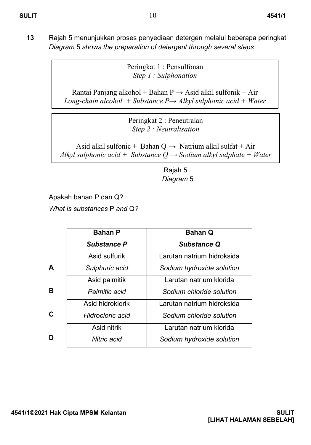**13** Rajah 5 menunjukkan proses penyediaan detergen melalui beberapa peringkat *Diagram* 5 *shows the preparation of detergent through several steps*

> Peringkat 1 : Pensulfonan *Step 1 : Sulphonation*

Rantai Panjang alkohol + Bahan P  $\rightarrow$  Asid alkil sulfonik + Air *Long-chain alcohol + Substance P→ Alkyl sulphonic acid + Water*

> Peringkat 2 : Peneutralan *Step 2 : Neutralisation*

Asid alkil sulfonic + Bahan  $Q \rightarrow$  Natrium alkil sulfat + Air *Alkyl sulphonic acid + Substance Q → Sodium alkyl sulphate + Water*

> Rajah 5  *Diagram* 5

Apakah bahan P dan Q?

*What is substances* P *and* Q*?*

|   | <b>Bahan P</b>     | <b>Bahan Q</b>             |
|---|--------------------|----------------------------|
|   | <b>Substance P</b> | <b>Substance Q</b>         |
|   | Asid sulfurik      | Larutan natrium hidroksida |
| A | Sulphuric acid     | Sodium hydroxide solution  |
|   | Asid palmitik      | Larutan natrium klorida    |
| В | Palmitic acid      | Sodium chloride solution   |
|   | Asid hidroklorik   | Larutan natrium hidroksida |
| C | Hidrocloric acid   | Sodium chloride solution   |
|   | Asid nitrik        | Larutan natrium klorida    |
| D | Nitric acid        | Sodium hydroxide solution  |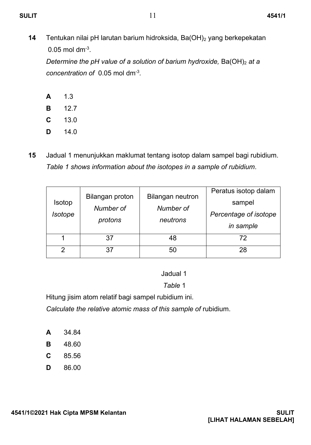**SULIT** 4541/1

**14** Tentukan nilai pH larutan barium hidroksida, Ba(OH)<sub>2</sub> yang berkepekatan  $0.05$  mol dm<sup>-3</sup>.

*Determine the pH value of a solution of barium hydroxide, Ba(OH)<sub>2</sub> at a concentration of* 0.05 mol dm-3 *.*

- **A** 1.3
- **B** 12.7
- **C** 13.0
- **D** 14.0
- **15** Jadual 1 menunjukkan maklumat tentang isotop dalam sampel bagi rubidium. *Table 1 shows information about the isotopes in a sample of rubidium*.

| Isotop<br>Isotope | Bilangan proton<br>Number of<br>protons | <b>Bilangan neutron</b><br>Number of<br>neutrons | Peratus isotop dalam<br>sampel<br>Percentage of isotope<br>in sample |
|-------------------|-----------------------------------------|--------------------------------------------------|----------------------------------------------------------------------|
|                   | 37                                      | 48                                               | 72                                                                   |
| ◠                 | 37                                      | 50                                               | 28                                                                   |

Jadual 1

 *Table* 1

Hitung jisim atom relatif bagi sampel rubidium ini.

*Calculate the relative atomic mass of this sample of* rubidium.

- **A** 34.84
- **B** 48.60
- **C** 85.56
- **D** 86.00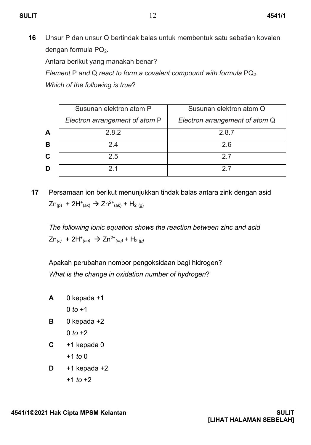**16** Unsur P dan unsur Q bertindak balas untuk membentuk satu sebatian kovalen dengan formula PQ2.

Antara berikut yang manakah benar?

*Element* P *and* Q *react to form a covalent compound with formula* PQ2.

*Which of the following is true*?

|   | Susunan elektron atom P        | Susunan elektron atom Q        |
|---|--------------------------------|--------------------------------|
|   | Electron arrangement of atom P | Electron arrangement of atom Q |
| A | 2.8.2                          | 2.8.7                          |
| B | 24                             | 26                             |
| C | 2.5                            | 27                             |
| D |                                | 27                             |

**17** Persamaan ion berikut menunjukkan tindak balas antara zink dengan asid  $Zn_{(p)}$  + 2H<sup>+</sup><sub>(ak)</sub>  $\rightarrow$  Zn<sup>2+</sup><sub>(ak)</sub> + H<sub>2 (g)</sub>

*The following ionic equation shows the reaction between zinc and acid*  $Zn_{(s)}$  + 2H<sup>+</sup><sub>(aq)</sub>  $\rightarrow$  Zn<sup>2+</sup><sub>(aq)</sub> + H<sub>2 (g)</sub>

Apakah perubahan nombor pengoksidaan bagi hidrogen? *What is the change in oxidation number of hydrogen*?

- **A** 0 kepada +1  $0 to +1$
- **B** 0 kepada +2 0 *to*  $+2$
- **C** +1 kepada 0 +1 *to* 0
- $D +1$  kepada  $+2$

+1 *to* +2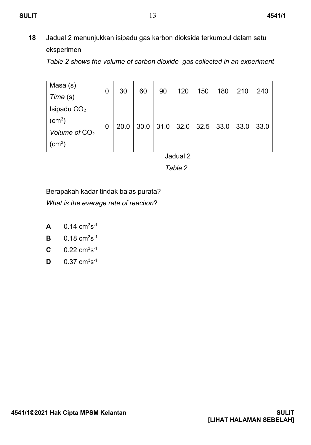**18** Jadual 2 menunjukkan isipadu gas karbon dioksida terkumpul dalam satu eksperimen

*Table 2 shows the volume of carbon dioxide gas collected in an experiment*

| Masa (s)           | 0 | 30   | 60   | 90     | 120 | 150              | 180 | 210    | 240  |
|--------------------|---|------|------|--------|-----|------------------|-----|--------|------|
| Time (s)           |   |      |      |        |     |                  |     |        |      |
| Isipadu $CO2$      |   |      |      |        |     |                  |     |        |      |
| (cm <sup>3</sup> ) | 0 | 20.0 | 30.0 | $31.0$ |     | $32.0$ 32.5 33.0 |     | $33.0$ | 33.0 |
| Volume of $CO2$    |   |      |      |        |     |                  |     |        |      |
| (cm <sup>3</sup> ) |   |      |      |        |     |                  |     |        |      |

Jadual 2

 *Table* 2

Berapakah kadar tindak balas purata? *What is the everage rate of reaction*?

- **A**  $0.14 \text{ cm}^3 \text{s}^{-1}$
- **B**  $0.18 \text{ cm}^3 \text{s}^{-1}$
- $C = 0.22 \text{ cm}^3 \text{s}^{-1}$
- **D**  $0.37 \text{ cm}^3 \text{s}^{-1}$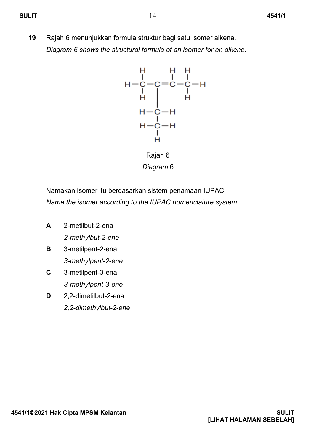**19** Rajah 6 menunjukkan formula struktur bagi satu isomer alkena. *Diagram 6 shows the structural formula of an isomer for an alkene.*



 Rajah 6  *Diagram* 6

Namakan isomer itu berdasarkan sistem penamaan IUPAC. *Name the isomer according to the IUPAC nomenclature system.*

- **A** 2-metilbut-2-ena *2-methylbut-2-ene*
- **B** 3-metilpent-2-ena *3-methylpent-2-ene*
- **C** 3-metilpent-3-ena *3-methylpent-3-ene*
- **D** 2,2-dimetilbut-2-ena *2,2-dimethylbut-2-ene*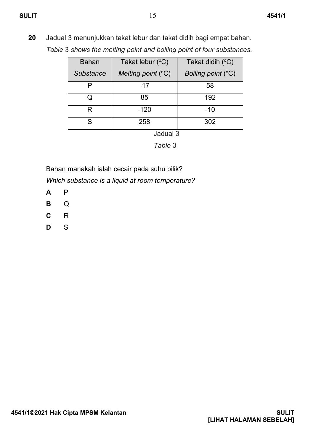**20** Jadual 3 menunjukkan takat lebur dan takat didih bagi empat bahan. *Table* 3 *shows the melting point and boiling point of four substances.*

| <b>Bahan</b>     | Takat lebur (°C)     | Takat didih (°C)     |  |
|------------------|----------------------|----------------------|--|
| <b>Substance</b> | Melting point $(°C)$ | Boiling point $(°C)$ |  |
|                  | -17                  | 58                   |  |
|                  | 85                   | 192                  |  |
| R                | $-120$               | $-10$                |  |
| ς                | 258                  | 302                  |  |

Jadual 3

 *Table* 3

Bahan manakah ialah cecair pada suhu bilik?

*Which substance is a liquid at room temperature?*

- **A** P
- **B** Q
- **C** R
- **D** S

**4541/1©2021 Hak Cipta MPSM Kelantan SULIT**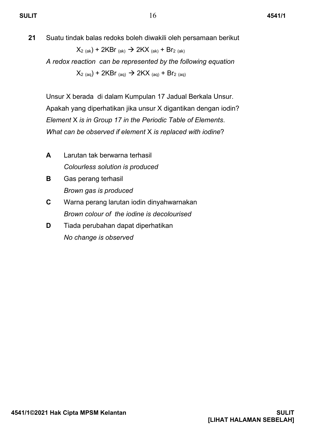**21** Suatu tindak balas redoks boleh diwakili oleh persamaan berikut

 $X_{2 (ak)} + 2KBr_{(ak)} \rightarrow 2KX_{(ak)} + Br_{2 (ak)}$ 

*A redox reaction can be represented by the following equation*  $X_{2 \text{ (aq)}} + 2KBr_{\text{ (aq)}} \rightarrow 2KX_{\text{ (aq)}} + Br_{2 \text{ (aq)}}$ 

Unsur X berada di dalam Kumpulan 17 Jadual Berkala Unsur. Apakah yang diperhatikan jika unsur X digantikan dengan iodin? *Element* X *is in Group 17 in the Periodic Table of Elements*. *What can be observed if element* X *is replaced with iodine*?

- **A** Larutan tak berwarna terhasil *Colourless solution is produced*
- **B** Gas perang terhasil *Brown gas is produced*
- **C** Warna perang larutan iodin dinyahwarnakan *Brown colour of the iodine is decolourised*
- **D** Tiada perubahan dapat diperhatikan *No change is observed*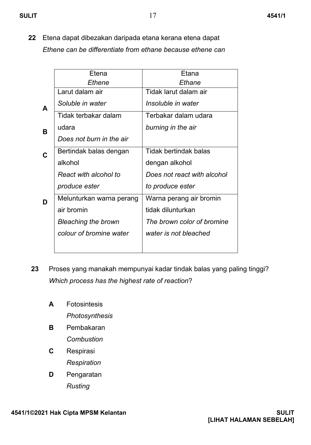- 
- **22** Etena dapat dibezakan daripada etana kerana etena dapat *Ethene can be differentiate from ethane because ethene can*

|   | Etena                      | Etana                       |
|---|----------------------------|-----------------------------|
|   | Ethene                     | Ethane                      |
|   | Larut dalam air            | Tidak larut dalam air       |
| A | Soluble in water           | Insoluble in water          |
|   | Tidak terbakar dalam       | Terbakar dalam udara        |
| в | udara                      | burning in the air          |
|   | Does not burn in the air   |                             |
| C | Bertindak balas dengan     | Tidak bertindak balas       |
|   | alkohol                    | dengan alkohol              |
|   | React with alcohol to      | Does not react with alcohol |
|   | produce ester              | to produce ester            |
| D | Melunturkan warna perang   | Warna perang air bromin     |
|   | air bromin                 | tidak dilunturkan           |
|   | <b>Bleaching the brown</b> | The brown color of bromine  |
|   | colour of bromine water    | water is not bleached       |
|   |                            |                             |
|   |                            |                             |

- **23** Proses yang manakah mempunyai kadar tindak balas yang paling tinggi? *Which process has the highest rate of reaction*?
	- **A** Fotosintesis *Photosynthesis*
	- **B** Pembakaran *Combustion*
	- **C** Respirasi *Respiration*
	- **D** Pengaratan *Rusting*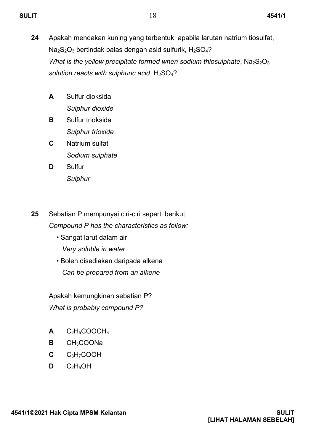- **24** Apakah mendakan kuning yang terbentuk apabila larutan natrium tiosulfat,  $Na<sub>2</sub>S<sub>2</sub>O<sub>3</sub>$  bertindak balas dengan asid sulfurik, H<sub>2</sub>SO<sub>4</sub>? *What is the yellow precipitate formed when sodium thiosulphate, Na*<sub>2</sub>S<sub>2</sub>O<sub>3</sub> *solution reacts with sulphuric acid*, H2SO4?
	- **A** Sulfur dioksida *Sulphur dioxide*
	- **B** Sulfur trioksida *Sulphur trioxide*
	- **C** Natrium sulfat *Sodium sulphate*
	- **D** Sulfur *Sulphur*
- **25** Sebatian P mempunyai ciri-ciri seperti berikut: *Compound P has the characteristics as follow:* 
	- Sangat larut dalam air *Very soluble in water*
	- Boleh disediakan daripada alkena  *Can be prepared from an alkene*

Apakah kemungkinan sebatian P? *What is probably compound P?*

- $A$   $C_2H_5COOCH_3$
- **B** CH3COONa
- **C** C3H7COOH
- $D$  C<sub>2</sub>H<sub>5</sub>OH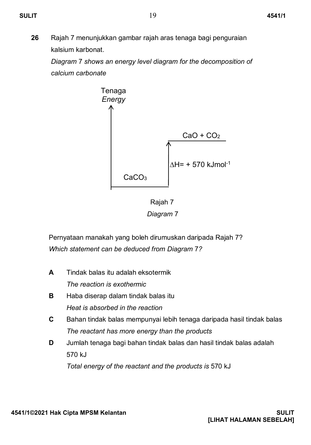**26** Rajah 7 menunjukkan gambar rajah aras tenaga bagi penguraian kalsium karbonat.

*Diagram* 7 *shows an energy level diagram for the decomposition of calcium carbonate*





Pernyataan manakah yang boleh dirumuskan daripada Rajah 7? *Which statement can be deduced from Diagram* 7*?*

**A B C D** Tindak balas itu adalah eksotermik *The reaction is exothermic* Haba diserap dalam tindak balas itu *Heat is absorbed in the reaction* Bahan tindak balas mempunyai lebih tenaga daripada hasil tindak balas *The reactant has more energy than the products* Jumlah tenaga bagi bahan tindak balas dan hasil tindak balas adalah 570 kJ *Total energy of the reactant and the products is* 570 kJ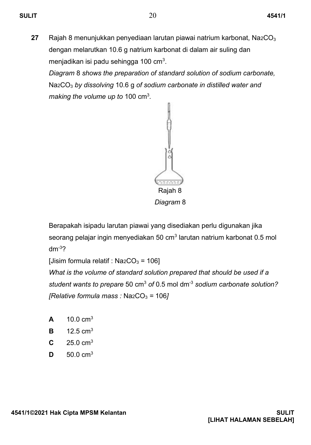**27** Rajah 8 menunjukkan penyediaan larutan piawai natrium karbonat, Na2CO<sup>3</sup> dengan melarutkan 10.6 g natrium karbonat di dalam air suling dan menjadikan isi padu sehingga 100 cm<sup>3</sup>.

*Diagram* 8 *shows the preparation of standard solution of sodium carbonate,*  Na2CO<sup>3</sup> *by dissolving* 10.6 g *of sodium carbonate in distilled water and*  making the volume up to 100 cm<sup>3</sup>.



Berapakah isipadu larutan piawai yang disediakan perlu digunakan jika seorang pelajar ingin menyediakan 50 cm<sup>3</sup> larutan natrium karbonat 0.5 mol  $dm<sup>-3</sup>2$ 

[Jisim formula relatif :  $NazCO<sub>3</sub> = 106$ ]

*What is the volume of standard solution prepared that should be used if a student wants to prepare* 50 cm<sup>3</sup> *of* 0.5 mol dm-3 *sodium carbonate solution? [Relative formula mass : Na2CO<sub>3</sub> = 106]* 

- **A**  $10.0 \text{ cm}^3$
- **B** 12.5  $cm<sup>3</sup>$
- **C**  $25.0 \text{ cm}^3$
- **D** 50.0 cm3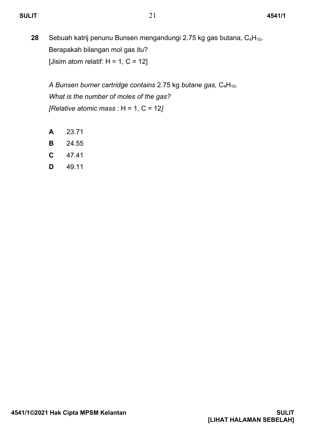**28** Sebuah katrij penunu Bunsen mengandungi 2.75 kg gas butana, C<sub>4</sub>H<sub>10</sub>. Berapakah bilangan mol gas itu? [Jisim atom relatif:  $H = 1$ ,  $C = 12$ ]

*A Bunsen burner cartridge contains* 2.75 kg *butane gas,* C4H10*. What is the number of moles of the gas? [Relative atomic mass :* H = 1, C = 12*]* 

- **A** 23.71
- **B** 24.55
- **C** 47.41
- **D** 49.11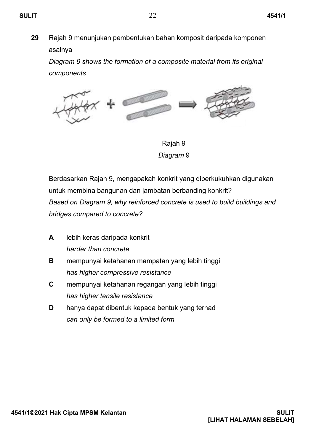**29** Rajah 9 menunjukan pembentukan bahan komposit daripada komponen asalnya

*Diagram 9 shows the formation of a composite material from its original components*



 Rajah 9  *Diagram* 9

Berdasarkan Rajah 9, mengapakah konkrit yang diperkukuhkan digunakan untuk membina bangunan dan jambatan berbanding konkrit? *Based on Diagram 9, why reinforced concrete is used to build buildings and bridges compared to concrete?*

- **A** lebih keras daripada konkrit *harder than concrete*
- **B** mempunyai ketahanan mampatan yang lebih tinggi *has higher compressive resistance*
- **C** mempunyai ketahanan regangan yang lebih tinggi *has higher tensile resistance*
- **D** hanya dapat dibentuk kepada bentuk yang terhad *can only be formed to a limited form*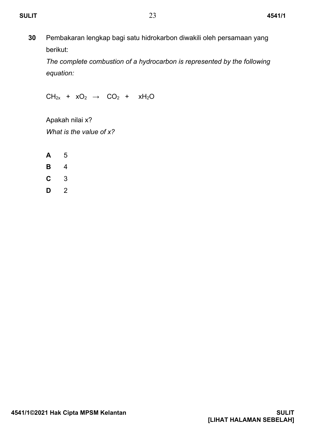**30** Pembakaran lengkap bagi satu hidrokarbon diwakili oleh persamaan yang berikut:

*The complete combustion of a hydrocarbon is represented by the following equation:* 

 $CH_{2x}$  +  $xO_2$   $\rightarrow$   $CO_2$  +  $xH_2O$ 

Apakah nilai x? *What is the value of x?* 

- **A** 5
- **B** 4
- **C** 3
- **D** 2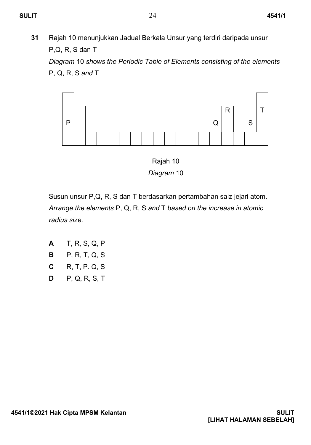**31** Rajah 10 menunjukkan Jadual Berkala Unsur yang terdiri daripada unsur P,Q, R, S dan T

*Diagram* 10 *shows the Periodic Table of Elements consisting of the elements*  P, Q, R, S *and* T





Susun unsur P,Q, R, S dan T berdasarkan pertambahan saiz jejari atom. *Arrange the elements* P, Q, R, S *and* T *based on the increase in atomic radius size.*

| А | T, R, S, Q, P |
|---|---------------|
| в | P, R, T, Q, S |
| С | R, T, P. Q, S |
| D | P, Q, R, S, T |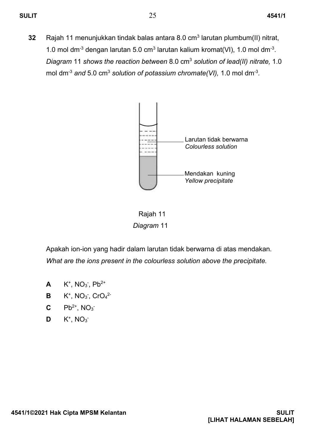**32** Rajah 11 menunjukkan tindak balas antara 8.0 cm<sup>3</sup> larutan plumbum(II) nitrat, 1.0 mol dm<sup>-3</sup> dengan larutan 5.0 cm<sup>3</sup> larutan kalium kromat(VI), 1.0 mol dm<sup>-3</sup>. *Diagram* 11 *shows the reaction between* 8.0 cm<sup>3</sup> *solution of lead(II) nitrate,* 1.0 mol dm-3 *and* 5.0 cm<sup>3</sup> *solution of potassium chromate(VI),* 1.0 mol dm-3 *.*



 Rajah 11  *Diagram* 11

Apakah ion-ion yang hadir dalam larutan tidak berwarna di atas mendakan. *What are the ions present in the colourless solution above the precipitate.*

- **A**  $K^+$ , NO<sub>3</sub><sup>-</sup>, Pb<sup>2+</sup>
- **B**  $K^+$ , NO<sub>3</sub><sup>-</sup>, CrO<sub>4</sub><sup>2-</sup>
- **C**  $Pb^{2+}$ , NO<sub>3</sub>
- **D**  $K^+$ , NO<sub>3</sub>-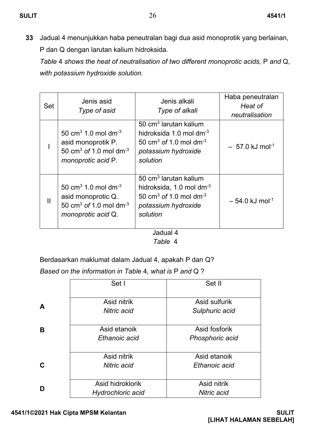**33** Jadual 4 menunjukkan haba peneutralan bagi dua asid monoprotik yang berlainan, P dan Q dengan larutan kalium hidroksida.

*Table* 4 *shows the heat of neutralisation of two different monoprotic acids,* P *and* Q, *with potassium hydroxide solution.*

| Set | Jenis asid<br>Type of asid                                                                                                                | Jenis alkali<br>Type of alkali                                                                                                                                 | Haba peneutralan<br>Heat of<br>neutralisation |
|-----|-------------------------------------------------------------------------------------------------------------------------------------------|----------------------------------------------------------------------------------------------------------------------------------------------------------------|-----------------------------------------------|
|     | 50 cm <sup>3</sup> 1.0 mol dm <sup>-3</sup><br>asid monoprotik P.<br>50 cm <sup>3</sup> of 1.0 mol dm <sup>-3</sup><br>monoprotic acid P. | $50 \text{ cm}^3$ larutan kalium<br>hidroksida 1.0 mol dm <sup>-3</sup><br>50 cm <sup>3</sup> of 1.0 mol dm <sup>-3</sup><br>potassium hydroxide<br>solution   | $-57.0$ kJ mol <sup>-1</sup>                  |
| Ш   | 50 cm <sup>3</sup> 1.0 mol dm <sup>-3</sup><br>asid monoprotic Q.<br>50 cm <sup>3</sup> of 1.0 mol dm <sup>-3</sup><br>monoprotic acid Q. | 50 cm <sup>3</sup> larutan kalium<br>hidroksida, 1.0 mol dm <sup>-3</sup><br>50 cm <sup>3</sup> of 1.0 mol dm <sup>-3</sup><br>potassium hydroxide<br>solution | $-54.0$ kJ mol <sup>-1</sup>                  |

Jadual 4  *Table* 4

Berdasarkan maklumat dalam Jadual 4, apakah P dan Q?

*Based on the information in Table* 4*, what is* P *and* Q ?

|   | Set I             | Set II          |
|---|-------------------|-----------------|
|   |                   |                 |
|   | Asid nitrik       | Asid sulfurik   |
| A | Nitric acid       | Sulphuric acid  |
| в | Asid etanoik      | Asid fosforik   |
|   | Ethanoic acid     | Phosphoric acid |
|   |                   |                 |
|   | Asid nitrik       | Asid etanoik    |
| C | Nitric acid       | Ethanoic acid   |
|   |                   |                 |
|   | Asid hidroklorik  | Asid nitrik     |
| D | Hydrochloric acid | Nitric acid     |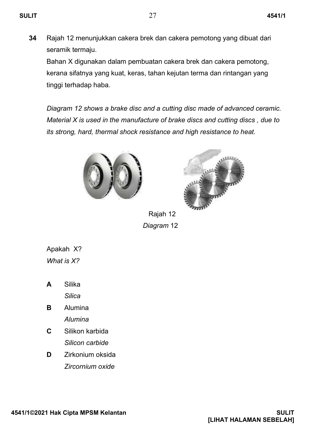**34** Rajah 12 menunjukkan cakera brek dan cakera pemotong yang dibuat dari seramik termaju.

Bahan X digunakan dalam pembuatan cakera brek dan cakera pemotong, kerana sifatnya yang kuat, keras, tahan kejutan terma dan rintangan yang tinggi terhadap haba.

*Diagram 12 shows a brake disc and a cutting disc made of advanced ceramic. Material X is used in the manufacture of brake discs and cutting discs , due to its strong, hard, thermal shock resistance and high resistance to heat.* 





 Rajah 12  *Diagram* 12

Apakah X? *What is X?*

- **A** Silika *Silica*
- **B** Alumina *Alumina*
- **C** Silikon karbida *Silicon carbide*
- **D** Zirkonium oksida *Zircornium oxide*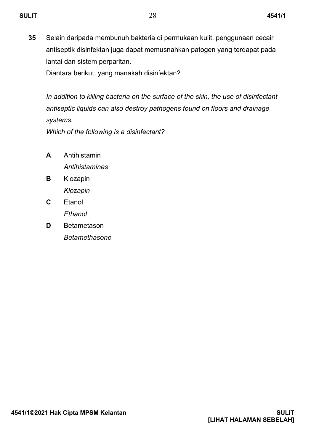**35** Selain daripada membunuh bakteria di permukaan kulit, penggunaan cecair antiseptik disinfektan juga dapat memusnahkan patogen yang terdapat pada lantai dan sistem perparitan.

Diantara berikut, yang manakah disinfektan?

*In addition to killing bacteria on the surface of the skin, the use of disinfectant antiseptic liquids can also destroy pathogens found on floors and drainage systems.* 

*Which of the following is a disinfectant?*

- **A** Antihistamin *Antihistamines*
- **B** Klozapin *Klozapin*
- **C** Etanol *Ethanol*
- **D Betametason** *Betamethasone*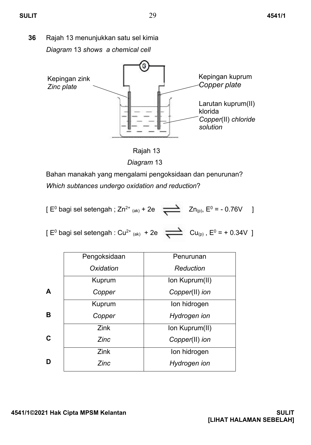**36** Rajah 13 menunjukkan satu sel kimia *Diagram* 13 *shows a chemical cell*



Rajah 13

 *Diagram* 13

Bahan manakah yang mengalami pengoksidaan dan penurunan? *Which subtances undergo oxidation and reduction*?

$$
[ E0 bagi sel setengah ; Zn2+ (ak) + 2e \over \sum Zn_{(p)}, E0 = -0.76V ]
$$

[  $E^0$  bagi sel setengah : Cu<sup>2+</sup> (ak) + 2e  $\sum_{(p)}$  Cu<sub>(p)</sub>,  $E^0 = +0.34V$  ]

|   | Pengoksidaan | Penurunan      |
|---|--------------|----------------|
|   | Oxidation    | Reduction      |
|   | Kuprum       | Ion Kuprum(II) |
| A | Copper       | Copper(II) ion |
|   | Kuprum       | Ion hidrogen   |
| B | Copper       | Hydrogen ion   |
|   | Zink         | Ion Kuprum(II) |
| C | Zinc         | Copper(II) ion |
|   | Zink         | Ion hidrogen   |
| D | Zinc         | Hydrogen ion   |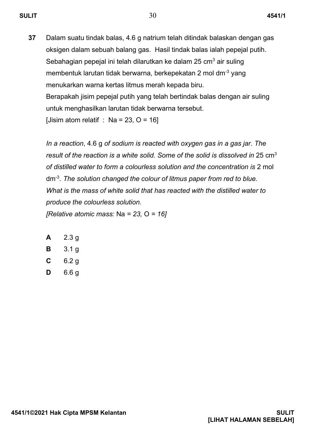**37** Dalam suatu tindak balas, 4.6 g natrium telah ditindak balaskan dengan gas oksigen dalam sebuah balang gas. Hasil tindak balas ialah pepejal putih. Sebahagian pepejal ini telah dilarutkan ke dalam 25 cm $3$  air suling membentuk larutan tidak berwarna, berkepekatan 2 mol dm<sup>-3</sup> yang menukarkan warna kertas litmus merah kepada biru. Berapakah jisim pepejal putih yang telah bertindak balas dengan air suling untuk menghasilkan larutan tidak berwarna tersebut. [Jisim atom relatif : Na = 23,  $O = 16$ ]

*In a reaction*, 4.6 g *of sodium is reacted with oxygen gas in a gas jar. The result of the reaction is a white solid. Some of the solid is dissolved in* 25 cm<sup>3</sup> *of distilled water to form a colourless solution and the concentration is* 2 mol dm-3 *. The solution changed the colour of litmus paper from red to blue. What is the mass of white solid that has reacted with the distilled water to produce the colourless solution.*

*[Relative atomic mass:* Na *= 23,* O *= 16]*

- **A** 2.3 g
- **B** 3.1 g
- **C** 6.2 g
- **D** 6.6 g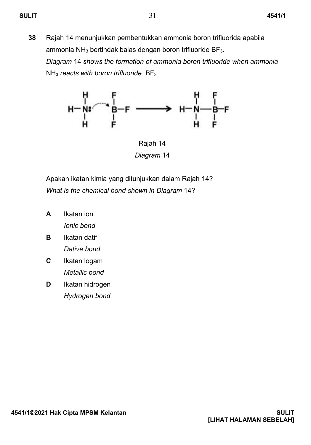**38** Rajah 14 menunjukkan pembentukkan ammonia boron trifluorida apabila ammonia NH $_3$  bertindak balas dengan boron trifluoride BF $_3$ . *Diagram* 14 *shows the formation of ammonia boron trifluoride when ammonia* NH<sup>3</sup> *reacts with boron trifluoride* BF<sup>3</sup>



 Rajah 14  *Diagram* 14

Apakah ikatan kimia yang ditunjukkan dalam Rajah 14? *What is the chemical bond shown in Diagram* 14?

- **A** Ikatan ion *Ionic bond*
- **B** Ikatan datif *Dative bond*
- **C** Ikatan logam *Metallic bond*
- **D** Ikatan hidrogen *Hydrogen bond*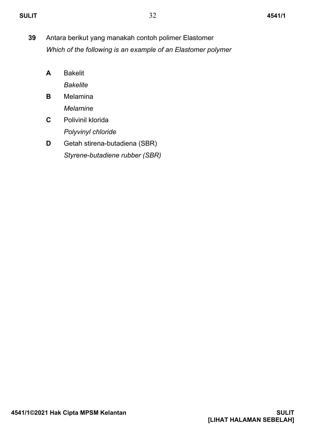- **39** Antara berikut yang manakah contoh polimer Elastomer *Which of the following is an example of an Elastomer polymer*
	- **A** Bakelit *Bakelite*
	- **B** Melamina *Melamine*
	- **C** Polivinil klorida *Polyvinyl chloride*
	- **D** Getah stirena-butadiena (SBR) *Styrene-butadiene rubber (SBR)*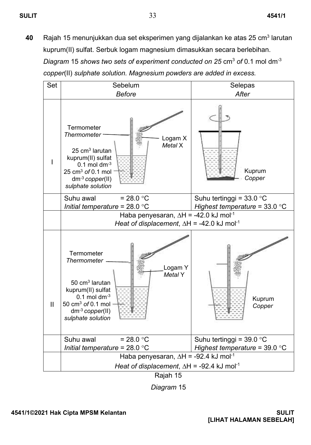**40 Rajah 15 menunjukkan dua set eksperimen yang dijalankan ke atas 25 cm<sup>3</sup> larutan** kuprum(II) sulfat. Serbuk logam magnesium dimasukkan secara berlebihan. *Diagram* 15 *shows two sets of experiment conducted on 25* cm<sup>3</sup> *of* 0.1 mol dm-3 *copper*(II) *sulphate solution. Magnesium powders are added in excess.*



*Diagram* 15